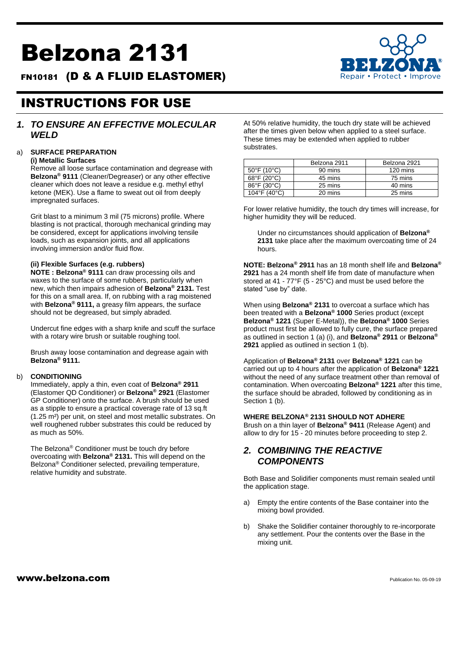# Belzona 2131

FN10181 (D & A FLUID ELASTOMER)



## INSTRUCTIONS FOR USE

## *1. TO ENSURE AN EFFECTIVE MOLECULAR WELD*

## a) **SURFACE PREPARATION**

#### **(i) Metallic Surfaces**

Remove all loose surface contamination and degrease with **Belzona® 9111** (Cleaner/Degreaser) or any other effective cleaner which does not leave a residue e.g. methyl ethyl ketone (MEK). Use a flame to sweat out oil from deeply impregnated surfaces.

Grit blast to a minimum 3 mil (75 microns) profile. Where blasting is not practical, thorough mechanical grinding may be considered, except for applications involving tensile loads, such as expansion joints, and all applications involving immersion and/or fluid flow.

#### **(ii) Flexible Surfaces (e.g. rubbers)**

**NOTE : Belzona® 9111** can draw processing oils and waxes to the surface of some rubbers, particularly when new, which then impairs adhesion of **Belzona® 2131.** Test for this on a small area. If, on rubbing with a rag moistened with **Belzona® 9111,** a greasy film appears, the surface should not be degreased, but simply abraded.

Undercut fine edges with a sharp knife and scuff the surface with a rotary wire brush or suitable roughing tool.

Brush away loose contamination and degrease again with **Belzona® 9111.**

#### b) **CONDITIONING**

Immediately, apply a thin, even coat of **Belzona® 2911** (Elastomer QD Conditioner) or **Belzona® 2921** (Elastomer GP Conditioner) onto the surface. A brush should be used as a stipple to ensure a practical coverage rate of 13 sq.ft (1.25 m²) per unit, on steel and most metallic substrates. On well roughened rubber substrates this could be reduced by as much as 50%.

The Belzona® Conditioner must be touch dry before overcoating with **Belzona® 2131.** This will depend on the Belzona® Conditioner selected, prevailing temperature, relative humidity and substrate.

At 50% relative humidity, the touch dry state will be achieved after the times given below when applied to a steel surface. These times may be extended when applied to rubber substrates.

|                                  | Belzona 2911<br>Belzona 2921 |          |
|----------------------------------|------------------------------|----------|
| $50^{\circ}$ F (10 $^{\circ}$ C) | 90 mins                      | 120 mins |
| 68°F (20°C)                      | 45 mins                      | 75 mins  |
| 86°F (30°C)                      | 25 mins                      | 40 mins  |
| 104°F (40°C)                     | 20 mins                      | 25 mins  |

For lower relative humidity, the touch dry times will increase, for higher humidity they will be reduced.

Under no circumstances should application of **Belzona® 2131** take place after the maximum overcoating time of 24 hours.

**NOTE: Belzona® 2911** has an 18 month shelf life and **Belzona® 2921** has a 24 month shelf life from date of manufacture when stored at 41 - 77°F (5 - 25°C) and must be used before the stated "use by" date.

When using **Belzona® 2131** to overcoat a surface which has been treated with a **Belzona® 1000** Series product (except **Belzona® 1221** (Super E-Metal)), the **Belzona® 1000** Series product must first be allowed to fully cure, the surface prepared as outlined in section 1 (a) (i), and **Belzona® 2911** or **Belzona® 2921** applied as outlined in section 1 (b).

Application of **Belzona® 2131** over **Belzona® 1221** can be carried out up to 4 hours after the application of **Belzona® 1221** without the need of any surface treatment other than removal of contamination. When overcoating **Belzona® 1221** after this time, the surface should be abraded, followed by conditioning as in Section 1 (b).

#### **WHERE BELZONA® 2131 SHOULD NOT ADHERE**

Brush on a thin layer of **Belzona® 9411** (Release Agent) and allow to dry for 15 - 20 minutes before proceeding to step 2.

## *2. COMBINING THE REACTIVE COMPONENTS*

Both Base and Solidifier components must remain sealed until the application stage.

- a) Empty the entire contents of the Base container into the mixing bowl provided.
- b) Shake the Solidifier container thoroughly to re-incorporate any settlement. Pour the contents over the Base in the mixing unit.

#### $www.belzona.com$